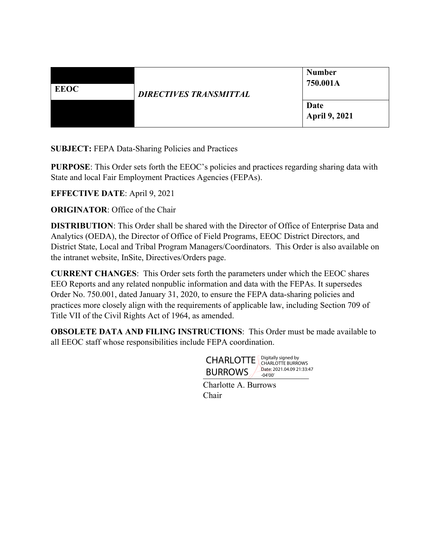| <b>EEOC</b> | <b>DIRECTIVES TRANSMITTAL</b> | <b>Number</b><br>750.001A    |
|-------------|-------------------------------|------------------------------|
|             |                               | Date<br><b>April 9, 2021</b> |

**SUBJECT:** FEPA Data-Sharing Policies and Practices

**PURPOSE**: This Order sets forth the EEOC's policies and practices regarding sharing data with State and local Fair Employment Practices Agencies (FEPAs).

**EFFECTIVE DATE**: April 9, 2021

**ORIGINATOR:** Office of the Chair

**DISTRIBUTION**: This Order shall be shared with the Director of Office of Enterprise Data and Analytics (OEDA), the Director of Office of Field Programs, EEOC District Directors, and District State, Local and Tribal Program Managers/Coordinators. This Order is also available on the intranet website, InSite, Directives/Orders page.

**CURRENT CHANGES**: This Order sets forth the parameters under which the EEOC shares EEO Reports and any related nonpublic information and data with the FEPAs. It supersedes Order No. 750.001, dated January 31, 2020, to ensure the FEPA data-sharing policies and practices more closely align with the requirements of applicable law, including Section 709 of Title VII of the Civil Rights Act of 1964, as amended.

**OBSOLETE DATA AND FILING INSTRUCTIONS**: This Order must be made available to all EEOC staff whose responsibilities include FEPA coordination.



Charlotte A. Burrows Chair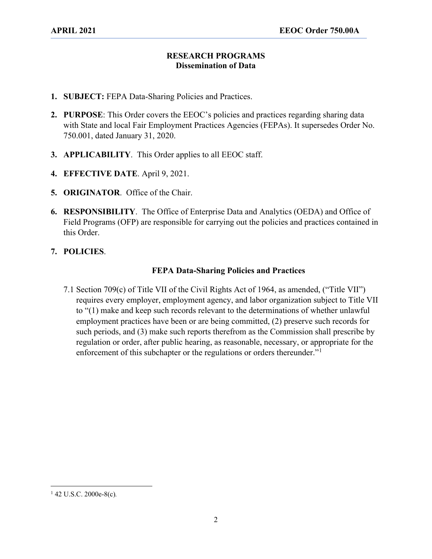## **RESEARCH PROGRAMS Dissemination of Data**

- **1. SUBJECT:** FEPA Data-Sharing Policies and Practices.
- **2. PURPOSE**: This Order covers the EEOC's policies and practices regarding sharing data with State and local Fair Employment Practices Agencies (FEPAs). It supersedes Order No. 750.001, dated January 31, 2020.
- **3. APPLICABILITY**. This Order applies to all EEOC staff.
- **4. EFFECTIVE DATE**. April 9, 2021.
- **5. ORIGINATOR**. Office of the Chair.
- **6. RESPONSIBILITY**. The Office of Enterprise Data and Analytics (OEDA) and Office of Field Programs (OFP) are responsible for carrying out the policies and practices contained in this Order.

## **7. POLICIES**.

## **FEPA Data-Sharing Policies and Practices**

7.1 Section 709(c) of Title VII of the Civil Rights Act of 1964, as amended, ("Title VII") requires every employer, employment agency, and labor organization subject to Title VII to "(1) make and keep such records relevant to the determinations of whether unlawful employment practices have been or are being committed, (2) preserve such records for such periods, and (3) make such reports therefrom as the Commission shall prescribe by regulation or order, after public hearing, as reasonable, necessary, or appropriate for the enforcement of this subchapter or the regulations or orders thereunder."<sup>[1](#page-1-0)</sup>

<span id="page-1-0"></span><sup>1</sup> 42 U.S.C. 2000e-8(c)*.*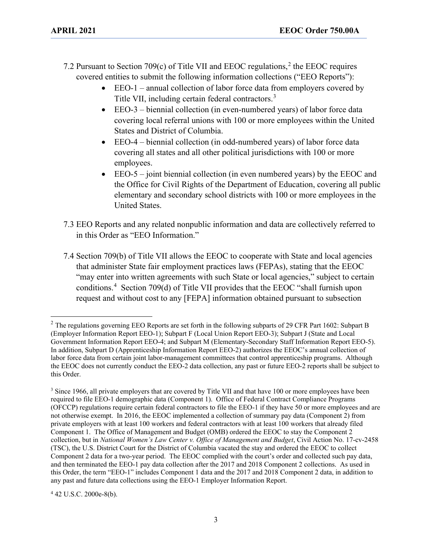- 7.2 Pursuant to Section 709(c) of Title VII and EEOC regulations, [2](#page-2-0) the EEOC requires covered entities to submit the following information collections ("EEO Reports"):
	- EEO-1 annual collection of labor force data from employers covered by Title VII, including certain federal contractors.<sup>[3](#page-2-1)</sup>
	- EEO-3 biennial collection (in even-numbered years) of labor force data covering local referral unions with 100 or more employees within the United States and District of Columbia.
	- EEO-4 biennial collection (in odd-numbered years) of labor force data covering all states and all other political jurisdictions with 100 or more employees.
	- EEO-5 joint biennial collection (in even numbered years) by the EEOC and the Office for Civil Rights of the Department of Education, covering all public elementary and secondary school districts with 100 or more employees in the United States.
- 7.3 EEO Reports and any related nonpublic information and data are collectively referred to in this Order as "EEO Information."
- 7.4 Section 709(b) of Title VII allows the EEOC to cooperate with State and local agencies that administer State fair employment practices laws (FEPAs), stating that the EEOC "may enter into written agreements with such State or local agencies," subject to certain conditions. [4](#page-2-2) Section 709(d) of Title VII provides that the EEOC "shall furnish upon request and without cost to any [FEPA] information obtained pursuant to subsection

<span id="page-2-2"></span><sup>4</sup> 42 U.S.C. 2000e-8(b).

<span id="page-2-0"></span><sup>&</sup>lt;sup>2</sup> The regulations governing EEO Reports are set forth in the following subparts of 29 CFR Part 1602: Subpart B (Employer Information Report EEO-1); Subpart F (Local Union Report EEO-3); Subpart J (State and Local Government Information Report EEO-4; and Subpart M (Elementary-Secondary Staff Information Report EEO-5). In addition, Subpart D (Apprenticeship Information Report EEO-2) authorizes the EEOC's annual collection of labor force data from certain joint labor-management committees that control apprenticeship programs. Although the EEOC does not currently conduct the EEO-2 data collection, any past or future EEO-2 reports shall be subject to this Order.

<span id="page-2-1"></span><sup>&</sup>lt;sup>3</sup> Since 1966, all private employers that are covered by Title VII and that have 100 or more employees have been required to file EEO-1 demographic data (Component 1). Office of Federal Contract Compliance Programs (OFCCP) regulations require certain federal contractors to file the EEO-1 if they have 50 or more employees and are not otherwise exempt. In 2016, the EEOC implemented a collection of summary pay data (Component 2) from private employers with at least 100 workers and federal contractors with at least 100 workers that already filed Component 1. The Office of Management and Budget (OMB) ordered the EEOC to stay the Component 2 collection, but in *National Women's Law Center v. Office of Management and Budget*, Civil Action No. 17-cv-2458 (TSC), the U.S. District Court for the District of Columbia vacated the stay and ordered the EEOC to collect Component 2 data for a two-year period. The EEOC complied with the court's order and collected such pay data, and then terminated the EEO-1 pay data collection after the 2017 and 2018 Component 2 collections. As used in this Order, the term "EEO-1" includes Component 1 data and the 2017 and 2018 Component 2 data, in addition to any past and future data collections using the EEO-1 Employer Information Report.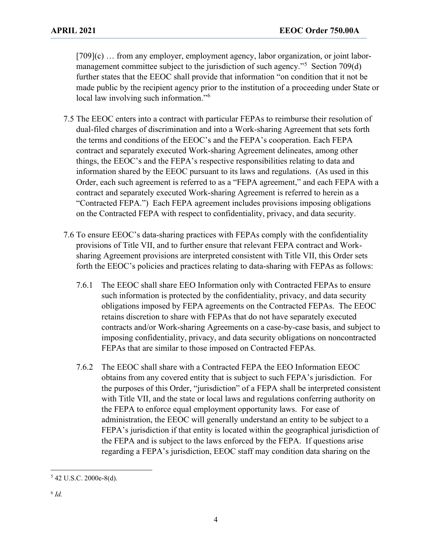[709](c) … from any employer, employment agency, labor organization, or joint labor-management committee subject to the jurisdiction of such agency."<sup>[5](#page-3-0)</sup> Section 709(d) further states that the EEOC shall provide that information "on condition that it not be made public by the recipient agency prior to the institution of a proceeding under State or local law involving such information."[6](#page-3-1)

- 7.5 The EEOC enters into a contract with particular FEPAs to reimburse their resolution of dual-filed charges of discrimination and into a Work-sharing Agreement that sets forth the terms and conditions of the EEOC's and the FEPA's cooperation. Each FEPA contract and separately executed Work-sharing Agreement delineates, among other things, the EEOC's and the FEPA's respective responsibilities relating to data and information shared by the EEOC pursuant to its laws and regulations. (As used in this Order, each such agreement is referred to as a "FEPA agreement," and each FEPA with a contract and separately executed Work-sharing Agreement is referred to herein as a "Contracted FEPA.") Each FEPA agreement includes provisions imposing obligations on the Contracted FEPA with respect to confidentiality, privacy, and data security.
- 7.6 To ensure EEOC's data-sharing practices with FEPAs comply with the confidentiality provisions of Title VII, and to further ensure that relevant FEPA contract and Worksharing Agreement provisions are interpreted consistent with Title VII, this Order sets forth the EEOC's policies and practices relating to data-sharing with FEPAs as follows:
	- 7.6.1 The EEOC shall share EEO Information only with Contracted FEPAs to ensure such information is protected by the confidentiality, privacy, and data security obligations imposed by FEPA agreements on the Contracted FEPAs. The EEOC retains discretion to share with FEPAs that do not have separately executed contracts and/or Work-sharing Agreements on a case-by-case basis, and subject to imposing confidentiality, privacy, and data security obligations on noncontracted FEPAs that are similar to those imposed on Contracted FEPAs.
	- 7.6.2 The EEOC shall share with a Contracted FEPA the EEO Information EEOC obtains from any covered entity that is subject to such FEPA's jurisdiction. For the purposes of this Order, "jurisdiction" of a FEPA shall be interpreted consistent with Title VII, and the state or local laws and regulations conferring authority on the FEPA to enforce equal employment opportunity laws. For ease of administration, the EEOC will generally understand an entity to be subject to a FEPA's jurisdiction if that entity is located within the geographical jurisdiction of the FEPA and is subject to the laws enforced by the FEPA. If questions arise regarding a FEPA's jurisdiction, EEOC staff may condition data sharing on the

<span id="page-3-1"></span><span id="page-3-0"></span><sup>5</sup> 42 U.S.C. 2000e-8(d).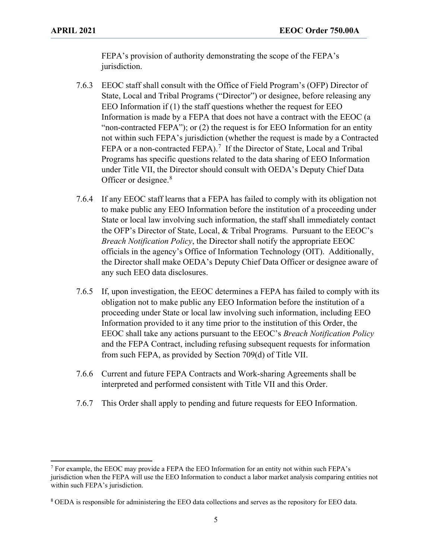FEPA's provision of authority demonstrating the scope of the FEPA's jurisdiction.

- 7.6.3 EEOC staff shall consult with the Office of Field Program's (OFP) Director of State, Local and Tribal Programs ("Director") or designee, before releasing any EEO Information if (1) the staff questions whether the request for EEO Information is made by a FEPA that does not have a contract with the EEOC (a "non-contracted FEPA"); or (2) the request is for EEO Information for an entity not within such FEPA's jurisdiction (whether the request is made by a Contracted FEPA or a non-contracted FEPA).<sup>[7](#page-4-0)</sup> If the Director of State, Local and Tribal Programs has specific questions related to the data sharing of EEO Information under Title VII, the Director should consult with OEDA's Deputy Chief Data Officer or designee.<sup>[8](#page-4-1)</sup>
- 7.6.4 If any EEOC staff learns that a FEPA has failed to comply with its obligation not to make public any EEO Information before the institution of a proceeding under State or local law involving such information, the staff shall immediately contact the OFP's Director of State, Local, & Tribal Programs. Pursuant to the EEOC's *Breach Notification Policy*, the Director shall notify the appropriate EEOC officials in the agency's Office of Information Technology (OIT). Additionally, the Director shall make OEDA's Deputy Chief Data Officer or designee aware of any such EEO data disclosures.
- 7.6.5 If, upon investigation, the EEOC determines a FEPA has failed to comply with its obligation not to make public any EEO Information before the institution of a proceeding under State or local law involving such information, including EEO Information provided to it any time prior to the institution of this Order, the EEOC shall take any actions pursuant to the EEOC's *Breach Notification Policy* and the FEPA Contract, including refusing subsequent requests for information from such FEPA, as provided by Section 709(d) of Title VII.
- 7.6.6 Current and future FEPA Contracts and Work-sharing Agreements shall be interpreted and performed consistent with Title VII and this Order.
- 7.6.7 This Order shall apply to pending and future requests for EEO Information.

<span id="page-4-0"></span><sup>7</sup> For example, the EEOC may provide a FEPA the EEO Information for an entity not within such FEPA's jurisdiction when the FEPA will use the EEO Information to conduct a labor market analysis comparing entities not within such FEPA's jurisdiction.

<span id="page-4-1"></span><sup>8</sup> OEDA is responsible for administering the EEO data collections and serves as the repository for EEO data.